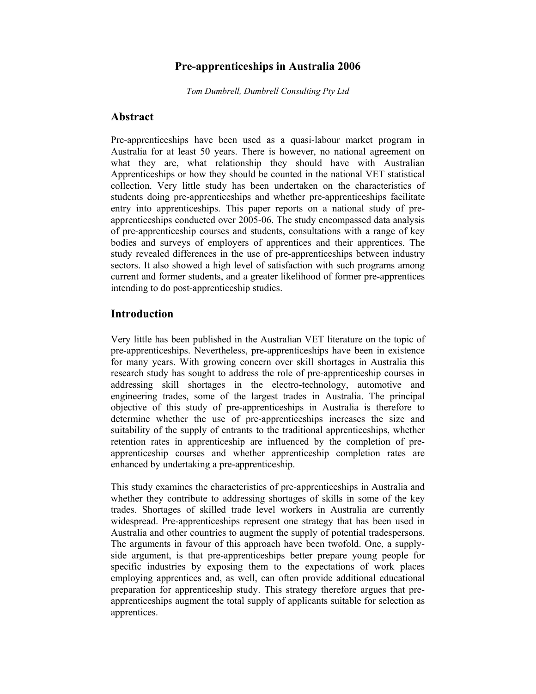### **Pre-apprenticeships in Australia 2006**

*Tom Dumbrell, Dumbrell Consulting Pty Ltd* 

### **Abstract**

Pre-apprenticeships have been used as a quasi-labour market program in Australia for at least 50 years. There is however, no national agreement on what they are, what relationship they should have with Australian Apprenticeships or how they should be counted in the national VET statistical collection. Very little study has been undertaken on the characteristics of students doing pre-apprenticeships and whether pre-apprenticeships facilitate entry into apprenticeships. This paper reports on a national study of preapprenticeships conducted over 2005-06. The study encompassed data analysis of pre-apprenticeship courses and students, consultations with a range of key bodies and surveys of employers of apprentices and their apprentices. The study revealed differences in the use of pre-apprenticeships between industry sectors. It also showed a high level of satisfaction with such programs among current and former students, and a greater likelihood of former pre-apprentices intending to do post-apprenticeship studies.

### **Introduction**

Very little has been published in the Australian VET literature on the topic of pre-apprenticeships. Nevertheless, pre-apprenticeships have been in existence for many years. With growing concern over skill shortages in Australia this research study has sought to address the role of pre-apprenticeship courses in addressing skill shortages in the electro-technology, automotive and engineering trades, some of the largest trades in Australia. The principal objective of this study of pre-apprenticeships in Australia is therefore to determine whether the use of pre-apprenticeships increases the size and suitability of the supply of entrants to the traditional apprenticeships, whether retention rates in apprenticeship are influenced by the completion of preapprenticeship courses and whether apprenticeship completion rates are enhanced by undertaking a pre-apprenticeship.

This study examines the characteristics of pre-apprenticeships in Australia and whether they contribute to addressing shortages of skills in some of the key trades. Shortages of skilled trade level workers in Australia are currently widespread. Pre-apprenticeships represent one strategy that has been used in Australia and other countries to augment the supply of potential tradespersons. The arguments in favour of this approach have been twofold. One, a supplyside argument, is that pre-apprenticeships better prepare young people for specific industries by exposing them to the expectations of work places employing apprentices and, as well, can often provide additional educational preparation for apprenticeship study. This strategy therefore argues that preapprenticeships augment the total supply of applicants suitable for selection as apprentices.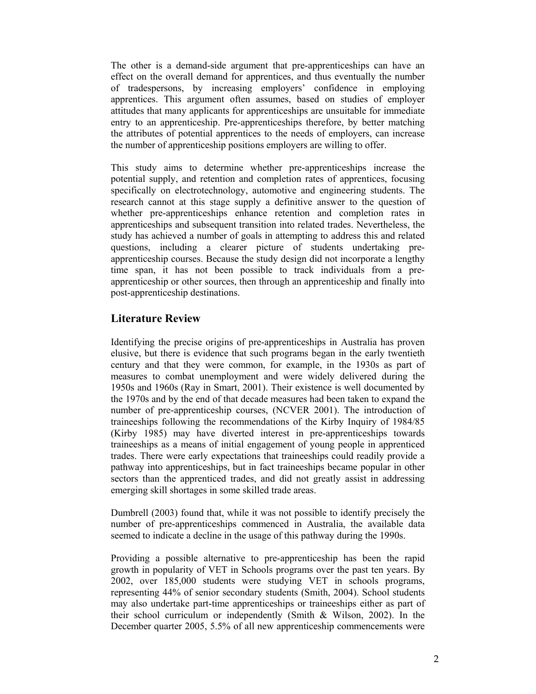The other is a demand-side argument that pre-apprenticeships can have an effect on the overall demand for apprentices, and thus eventually the number of tradespersons, by increasing employers' confidence in employing apprentices. This argument often assumes, based on studies of employer attitudes that many applicants for apprenticeships are unsuitable for immediate entry to an apprenticeship. Pre-apprenticeships therefore, by better matching the attributes of potential apprentices to the needs of employers, can increase the number of apprenticeship positions employers are willing to offer.

This study aims to determine whether pre-apprenticeships increase the potential supply, and retention and completion rates of apprentices, focusing specifically on electrotechnology, automotive and engineering students. The research cannot at this stage supply a definitive answer to the question of whether pre-apprenticeships enhance retention and completion rates in apprenticeships and subsequent transition into related trades. Nevertheless, the study has achieved a number of goals in attempting to address this and related questions, including a clearer picture of students undertaking preapprenticeship courses. Because the study design did not incorporate a lengthy time span, it has not been possible to track individuals from a preapprenticeship or other sources, then through an apprenticeship and finally into post-apprenticeship destinations.

## **Literature Review**

Identifying the precise origins of pre-apprenticeships in Australia has proven elusive, but there is evidence that such programs began in the early twentieth century and that they were common, for example, in the 1930s as part of measures to combat unemployment and were widely delivered during the 1950s and 1960s (Ray in Smart, 2001). Their existence is well documented by the 1970s and by the end of that decade measures had been taken to expand the number of pre-apprenticeship courses, (NCVER 2001). The introduction of traineeships following the recommendations of the Kirby Inquiry of 1984/85 (Kirby 1985) may have diverted interest in pre-apprenticeships towards traineeships as a means of initial engagement of young people in apprenticed trades. There were early expectations that traineeships could readily provide a pathway into apprenticeships, but in fact traineeships became popular in other sectors than the apprenticed trades, and did not greatly assist in addressing emerging skill shortages in some skilled trade areas.

Dumbrell (2003) found that, while it was not possible to identify precisely the number of pre-apprenticeships commenced in Australia, the available data seemed to indicate a decline in the usage of this pathway during the 1990s.

Providing a possible alternative to pre-apprenticeship has been the rapid growth in popularity of VET in Schools programs over the past ten years. By 2002, over 185,000 students were studying VET in schools programs, representing 44% of senior secondary students (Smith, 2004). School students may also undertake part-time apprenticeships or traineeships either as part of their school curriculum or independently (Smith & Wilson, 2002). In the December quarter 2005, 5.5% of all new apprenticeship commencements were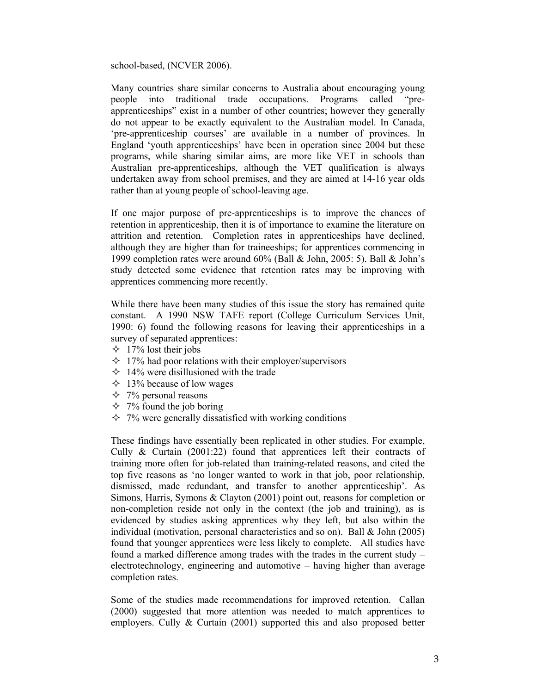school-based, (NCVER 2006).

Many countries share similar concerns to Australia about encouraging young people into traditional trade occupations. Programs called "preapprenticeships" exist in a number of other countries; however they generally do not appear to be exactly equivalent to the Australian model. In Canada, 'pre-apprenticeship courses' are available in a number of provinces. In England 'youth apprenticeships' have been in operation since 2004 but these programs, while sharing similar aims, are more like VET in schools than Australian pre-apprenticeships, although the VET qualification is always undertaken away from school premises, and they are aimed at 14-16 year olds rather than at young people of school-leaving age.

If one major purpose of pre-apprenticeships is to improve the chances of retention in apprenticeship, then it is of importance to examine the literature on attrition and retention. Completion rates in apprenticeships have declined, although they are higher than for traineeships; for apprentices commencing in 1999 completion rates were around 60% (Ball & John, 2005: 5). Ball & John's study detected some evidence that retention rates may be improving with apprentices commencing more recently.

While there have been many studies of this issue the story has remained quite constant. A 1990 NSW TAFE report (College Curriculum Services Unit, 1990: 6) found the following reasons for leaving their apprenticeships in a survey of separated apprentices:

- $\div$  17% lost their jobs
- $\div$  17% had poor relations with their employer/supervisors
- $\div$  14% were disillusioned with the trade
- $\div$  13% because of low wages
- $\div$  7% personal reasons
- $\div$  7% found the job boring
- $\div$  7% were generally dissatisfied with working conditions

These findings have essentially been replicated in other studies. For example, Cully & Curtain (2001:22) found that apprentices left their contracts of training more often for job-related than training-related reasons, and cited the top five reasons as 'no longer wanted to work in that job, poor relationship, dismissed, made redundant, and transfer to another apprenticeship'. As Simons, Harris, Symons & Clayton (2001) point out, reasons for completion or non-completion reside not only in the context (the job and training), as is evidenced by studies asking apprentices why they left, but also within the individual (motivation, personal characteristics and so on). Ball & John (2005) found that younger apprentices were less likely to complete. All studies have found a marked difference among trades with the trades in the current study – electrotechnology, engineering and automotive – having higher than average completion rates.

Some of the studies made recommendations for improved retention. Callan (2000) suggested that more attention was needed to match apprentices to employers. Cully & Curtain (2001) supported this and also proposed better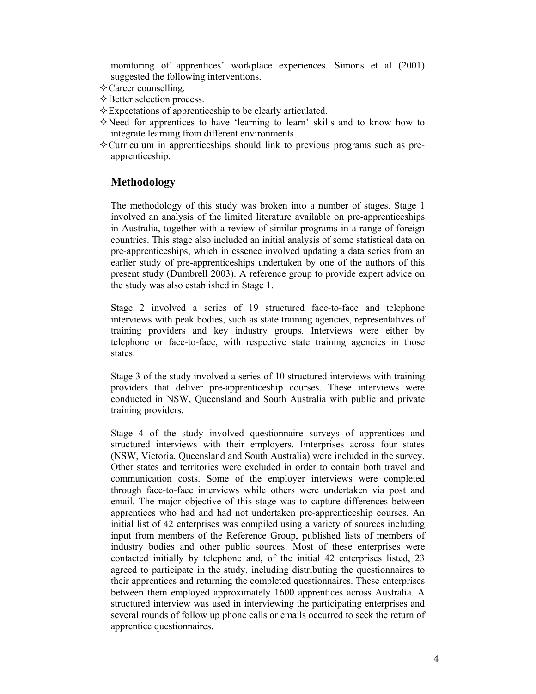monitoring of apprentices' workplace experiences. Simons et al (2001) suggested the following interventions.

- $\Diamond$  Career counselling.
- $\Diamond$  Better selection process.
- $\Diamond$  Expectations of apprenticeship to be clearly articulated.
- $\diamond$  Need for apprentices to have 'learning to learn' skills and to know how to integrate learning from different environments.
- $\Diamond$  Curriculum in apprenticeships should link to previous programs such as preapprenticeship.

# **Methodology**

The methodology of this study was broken into a number of stages. Stage 1 involved an analysis of the limited literature available on pre-apprenticeships in Australia, together with a review of similar programs in a range of foreign countries. This stage also included an initial analysis of some statistical data on pre-apprenticeships, which in essence involved updating a data series from an earlier study of pre-apprenticeships undertaken by one of the authors of this present study (Dumbrell 2003). A reference group to provide expert advice on the study was also established in Stage 1.

Stage 2 involved a series of 19 structured face-to-face and telephone interviews with peak bodies, such as state training agencies, representatives of training providers and key industry groups. Interviews were either by telephone or face-to-face, with respective state training agencies in those states.

Stage 3 of the study involved a series of 10 structured interviews with training providers that deliver pre-apprenticeship courses. These interviews were conducted in NSW, Queensland and South Australia with public and private training providers.

Stage 4 of the study involved questionnaire surveys of apprentices and structured interviews with their employers. Enterprises across four states (NSW, Victoria, Queensland and South Australia) were included in the survey. Other states and territories were excluded in order to contain both travel and communication costs. Some of the employer interviews were completed through face-to-face interviews while others were undertaken via post and email. The major objective of this stage was to capture differences between apprentices who had and had not undertaken pre-apprenticeship courses. An initial list of 42 enterprises was compiled using a variety of sources including input from members of the Reference Group, published lists of members of industry bodies and other public sources. Most of these enterprises were contacted initially by telephone and, of the initial 42 enterprises listed, 23 agreed to participate in the study, including distributing the questionnaires to their apprentices and returning the completed questionnaires. These enterprises between them employed approximately 1600 apprentices across Australia. A structured interview was used in interviewing the participating enterprises and several rounds of follow up phone calls or emails occurred to seek the return of apprentice questionnaires.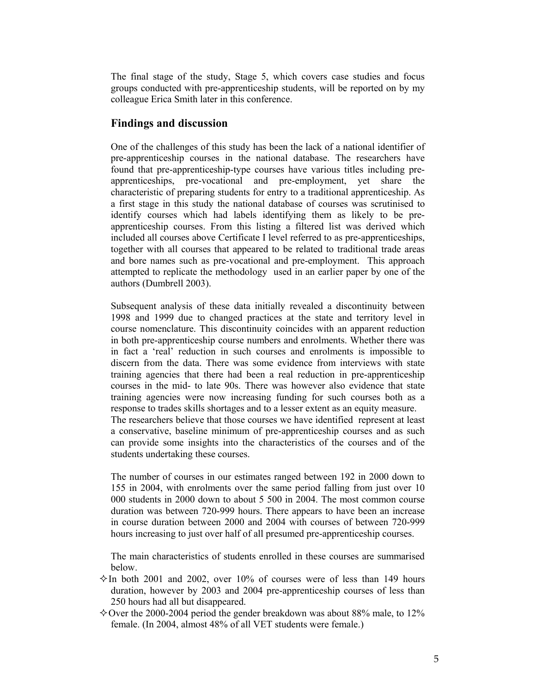The final stage of the study, Stage 5, which covers case studies and focus groups conducted with pre-apprenticeship students, will be reported on by my colleague Erica Smith later in this conference.

#### **Findings and discussion**

One of the challenges of this study has been the lack of a national identifier of pre-apprenticeship courses in the national database. The researchers have found that pre-apprenticeship-type courses have various titles including preapprenticeships, pre-vocational and pre-employment, yet share the characteristic of preparing students for entry to a traditional apprenticeship. As a first stage in this study the national database of courses was scrutinised to identify courses which had labels identifying them as likely to be preapprenticeship courses. From this listing a filtered list was derived which included all courses above Certificate I level referred to as pre-apprenticeships, together with all courses that appeared to be related to traditional trade areas and bore names such as pre-vocational and pre-employment. This approach attempted to replicate the methodology used in an earlier paper by one of the authors (Dumbrell 2003).

Subsequent analysis of these data initially revealed a discontinuity between 1998 and 1999 due to changed practices at the state and territory level in course nomenclature. This discontinuity coincides with an apparent reduction in both pre-apprenticeship course numbers and enrolments. Whether there was in fact a 'real' reduction in such courses and enrolments is impossible to discern from the data. There was some evidence from interviews with state training agencies that there had been a real reduction in pre-apprenticeship courses in the mid- to late 90s. There was however also evidence that state training agencies were now increasing funding for such courses both as a response to trades skills shortages and to a lesser extent as an equity measure. The researchers believe that those courses we have identified represent at least a conservative, baseline minimum of pre-apprenticeship courses and as such can provide some insights into the characteristics of the courses and of the students undertaking these courses.

The number of courses in our estimates ranged between 192 in 2000 down to 155 in 2004, with enrolments over the same period falling from just over 10 000 students in 2000 down to about 5 500 in 2004. The most common course duration was between 720-999 hours. There appears to have been an increase in course duration between 2000 and 2004 with courses of between 720-999 hours increasing to just over half of all presumed pre-apprenticeship courses.

The main characteristics of students enrolled in these courses are summarised below.

- $\Diamond$  In both 2001 and 2002, over 10% of courses were of less than 149 hours duration, however by 2003 and 2004 pre-apprenticeship courses of less than 250 hours had all but disappeared.
- $\diamond$  Over the 2000-2004 period the gender breakdown was about 88% male, to 12% female. (In 2004, almost 48% of all VET students were female.)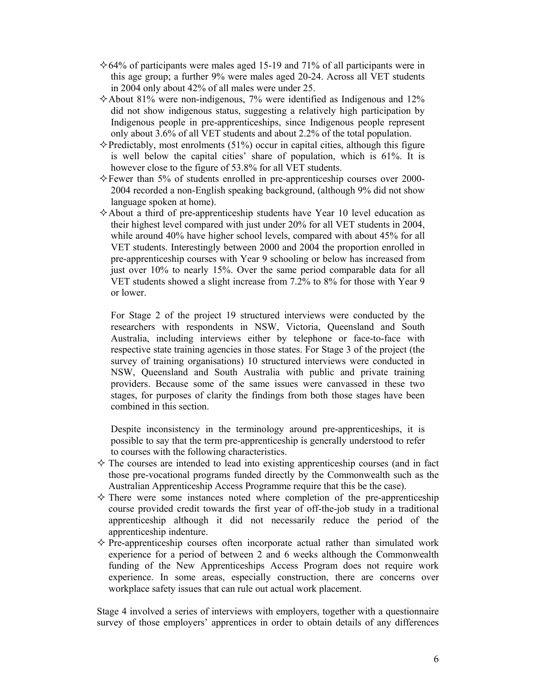- $\div 64\%$  of participants were males aged 15-19 and 71% of all participants were in this age group; a further 9% were males aged 20-24. Across all VET students in 2004 only about 42% of all males were under 25.
- $\triangle$  About 81% were non-indigenous, 7% were identified as Indigenous and 12% did not show indigenous status, suggesting a relatively high participation by Indigenous people in pre-apprenticeships, since Indigenous people represent only about 3.6% of all VET students and about 2.2% of the total population.
- $\Diamond$  Predictably, most enrolments (51%) occur in capital cities, although this figure is well below the capital cities' share of population, which is 61%. It is however close to the figure of 53.8% for all VET students.
- $\Diamond$  Fewer than 5% of students enrolled in pre-apprenticeship courses over 2000-2004 recorded a non-English speaking background, (although 9% did not show language spoken at home).
- $\Diamond$  About a third of pre-apprenticeship students have Year 10 level education as their highest level compared with just under 20% for all VET students in 2004, while around 40% have higher school levels, compared with about 45% for all VET students. Interestingly between 2000 and 2004 the proportion enrolled in pre-apprenticeship courses with Year 9 schooling or below has increased from just over 10% to nearly 15%. Over the same period comparable data for all VET students showed a slight increase from 7.2% to 8% for those with Year 9 or lower.

For Stage 2 of the project 19 structured interviews were conducted by the researchers with respondents in NSW, Victoria, Queensland and South Australia, including interviews either by telephone or face-to-face with respective state training agencies in those states. For Stage 3 of the project (the survey of training organisations) 10 structured interviews were conducted in NSW, Queensland and South Australia with public and private training providers. Because some of the same issues were canvassed in these two stages, for purposes of clarity the findings from both those stages have been combined in this section.

Despite inconsistency in the terminology around pre-apprenticeships, it is possible to say that the term pre-apprenticeship is generally understood to refer to courses with the following characteristics.

- $\diamond$  The courses are intended to lead into existing apprenticeship courses (and in fact those pre-vocational programs funded directly by the Commonwealth such as the Australian Apprenticeship Access Programme require that this be the case).
- $\diamond$  There were some instances noted where completion of the pre-apprenticeship course provided credit towards the first year of off-the-job study in a traditional apprenticeship although it did not necessarily reduce the period of the apprenticeship indenture.
- $\diamond$  Pre-apprenticeship courses often incorporate actual rather than simulated work experience for a period of between 2 and 6 weeks although the Commonwealth funding of the New Apprenticeships Access Program does not require work experience. In some areas, especially construction, there are concerns over workplace safety issues that can rule out actual work placement.

Stage 4 involved a series of interviews with employers, together with a questionnaire survey of those employers' apprentices in order to obtain details of any differences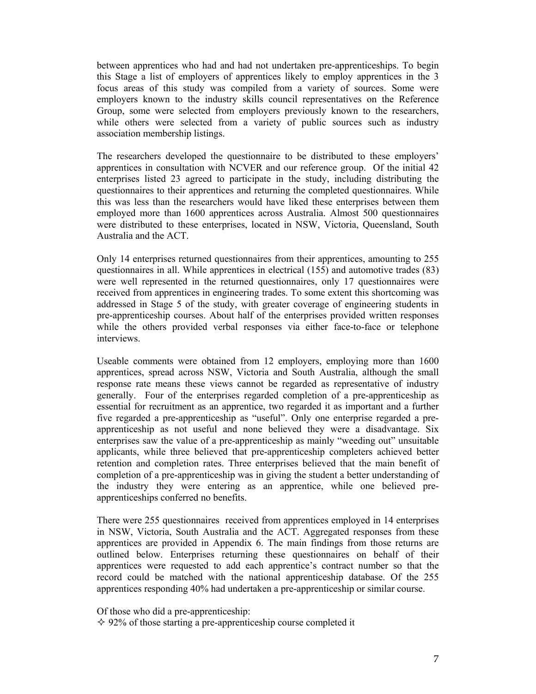between apprentices who had and had not undertaken pre-apprenticeships. To begin this Stage a list of employers of apprentices likely to employ apprentices in the 3 focus areas of this study was compiled from a variety of sources. Some were employers known to the industry skills council representatives on the Reference Group, some were selected from employers previously known to the researchers, while others were selected from a variety of public sources such as industry association membership listings.

The researchers developed the questionnaire to be distributed to these employers' apprentices in consultation with NCVER and our reference group. Of the initial 42 enterprises listed 23 agreed to participate in the study, including distributing the questionnaires to their apprentices and returning the completed questionnaires. While this was less than the researchers would have liked these enterprises between them employed more than 1600 apprentices across Australia. Almost 500 questionnaires were distributed to these enterprises, located in NSW, Victoria, Queensland, South Australia and the ACT.

Only 14 enterprises returned questionnaires from their apprentices, amounting to 255 questionnaires in all. While apprentices in electrical (155) and automotive trades (83) were well represented in the returned questionnaires, only 17 questionnaires were received from apprentices in engineering trades. To some extent this shortcoming was addressed in Stage 5 of the study, with greater coverage of engineering students in pre-apprenticeship courses. About half of the enterprises provided written responses while the others provided verbal responses via either face-to-face or telephone interviews.

Useable comments were obtained from 12 employers, employing more than 1600 apprentices, spread across NSW, Victoria and South Australia, although the small response rate means these views cannot be regarded as representative of industry generally. Four of the enterprises regarded completion of a pre-apprenticeship as essential for recruitment as an apprentice, two regarded it as important and a further five regarded a pre-apprenticeship as "useful". Only one enterprise regarded a preapprenticeship as not useful and none believed they were a disadvantage. Six enterprises saw the value of a pre-apprenticeship as mainly "weeding out" unsuitable applicants, while three believed that pre-apprenticeship completers achieved better retention and completion rates. Three enterprises believed that the main benefit of completion of a pre-apprenticeship was in giving the student a better understanding of the industry they were entering as an apprentice, while one believed preapprenticeships conferred no benefits.

There were 255 questionnaires received from apprentices employed in 14 enterprises in NSW, Victoria, South Australia and the ACT. Aggregated responses from these apprentices are provided in Appendix 6. The main findings from those returns are outlined below. Enterprises returning these questionnaires on behalf of their apprentices were requested to add each apprentice's contract number so that the record could be matched with the national apprenticeship database. Of the 255 apprentices responding 40% had undertaken a pre-apprenticeship or similar course.

Of those who did a pre-apprenticeship:

 $\div$  92% of those starting a pre-apprenticeship course completed it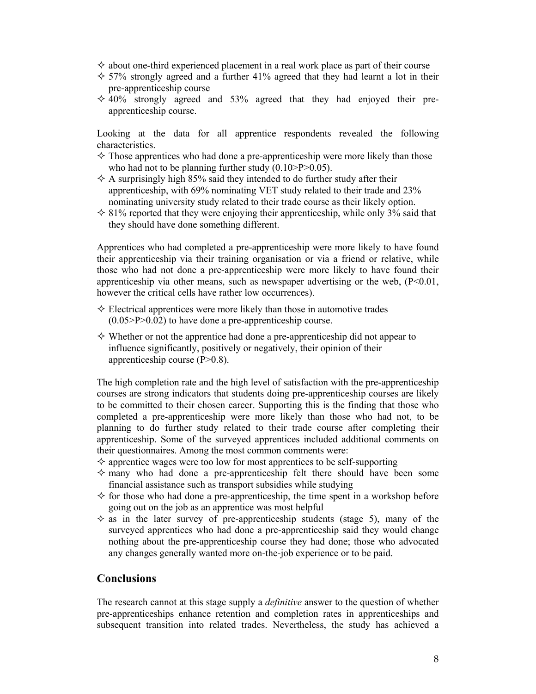- $\diamond$  about one-third experienced placement in a real work place as part of their course
- $\div$  57% strongly agreed and a further 41% agreed that they had learnt a lot in their pre-apprenticeship course
- $\div$  40% strongly agreed and 53% agreed that they had enjoyed their preapprenticeship course.

Looking at the data for all apprentice respondents revealed the following characteristics.

- $\Diamond$  Those apprentices who had done a pre-apprenticeship were more likely than those who had not to be planning further study  $(0.10 > P > 0.05)$ .
- $\Diamond$  A surprisingly high 85% said they intended to do further study after their apprenticeship, with 69% nominating VET study related to their trade and 23% nominating university study related to their trade course as their likely option.
- $\div$  81% reported that they were enjoying their apprenticeship, while only 3% said that they should have done something different.

Apprentices who had completed a pre-apprenticeship were more likely to have found their apprenticeship via their training organisation or via a friend or relative, while those who had not done a pre-apprenticeship were more likely to have found their apprenticeship via other means, such as newspaper advertising or the web,  $(P<0.01$ , however the critical cells have rather low occurrences).

- $\Diamond$  Electrical apprentices were more likely than those in automotive trades  $(0.05 > P > 0.02)$  to have done a pre-apprenticeship course.
- $\Diamond$  Whether or not the apprentice had done a pre-apprenticeship did not appear to influence significantly, positively or negatively, their opinion of their apprenticeship course (P>0.8).

The high completion rate and the high level of satisfaction with the pre-apprenticeship courses are strong indicators that students doing pre-apprenticeship courses are likely to be committed to their chosen career. Supporting this is the finding that those who completed a pre-apprenticeship were more likely than those who had not, to be planning to do further study related to their trade course after completing their apprenticeship. Some of the surveyed apprentices included additional comments on their questionnaires. Among the most common comments were:

- $\Diamond$  apprentice wages were too low for most apprentices to be self-supporting
- $\diamond$  many who had done a pre-apprenticeship felt there should have been some financial assistance such as transport subsidies while studying
- $\Diamond$  for those who had done a pre-apprenticeship, the time spent in a workshop before going out on the job as an apprentice was most helpful
- $\Diamond$  as in the later survey of pre-apprenticeship students (stage 5), many of the surveyed apprentices who had done a pre-apprenticeship said they would change nothing about the pre-apprenticeship course they had done; those who advocated any changes generally wanted more on-the-job experience or to be paid.

### **Conclusions**

The research cannot at this stage supply a *definitive* answer to the question of whether pre-apprenticeships enhance retention and completion rates in apprenticeships and subsequent transition into related trades. Nevertheless, the study has achieved a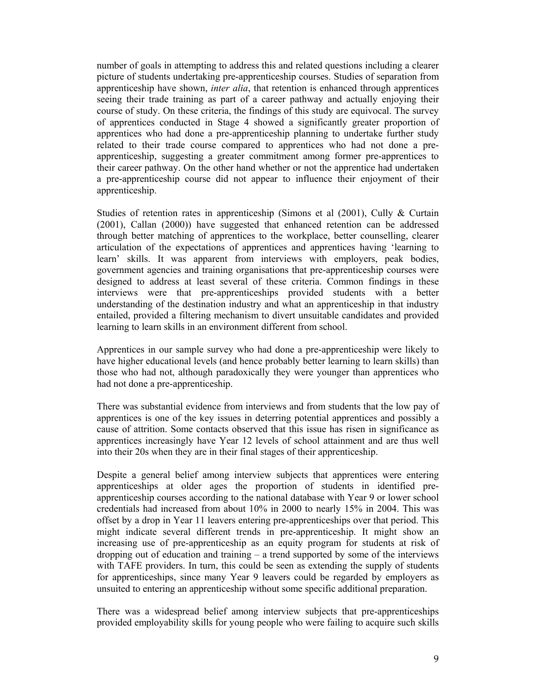number of goals in attempting to address this and related questions including a clearer picture of students undertaking pre-apprenticeship courses. Studies of separation from apprenticeship have shown, *inter alia*, that retention is enhanced through apprentices seeing their trade training as part of a career pathway and actually enjoying their course of study. On these criteria, the findings of this study are equivocal. The survey of apprentices conducted in Stage 4 showed a significantly greater proportion of apprentices who had done a pre-apprenticeship planning to undertake further study related to their trade course compared to apprentices who had not done a preapprenticeship, suggesting a greater commitment among former pre-apprentices to their career pathway. On the other hand whether or not the apprentice had undertaken a pre-apprenticeship course did not appear to influence their enjoyment of their apprenticeship.

Studies of retention rates in apprenticeship (Simons et al (2001), Cully & Curtain (2001), Callan (2000)) have suggested that enhanced retention can be addressed through better matching of apprentices to the workplace, better counselling, clearer articulation of the expectations of apprentices and apprentices having 'learning to learn' skills. It was apparent from interviews with employers, peak bodies, government agencies and training organisations that pre-apprenticeship courses were designed to address at least several of these criteria. Common findings in these interviews were that pre-apprenticeships provided students with a better understanding of the destination industry and what an apprenticeship in that industry entailed, provided a filtering mechanism to divert unsuitable candidates and provided learning to learn skills in an environment different from school.

Apprentices in our sample survey who had done a pre-apprenticeship were likely to have higher educational levels (and hence probably better learning to learn skills) than those who had not, although paradoxically they were younger than apprentices who had not done a pre-apprenticeship.

There was substantial evidence from interviews and from students that the low pay of apprentices is one of the key issues in deterring potential apprentices and possibly a cause of attrition. Some contacts observed that this issue has risen in significance as apprentices increasingly have Year 12 levels of school attainment and are thus well into their 20s when they are in their final stages of their apprenticeship.

Despite a general belief among interview subjects that apprentices were entering apprenticeships at older ages the proportion of students in identified preapprenticeship courses according to the national database with Year 9 or lower school credentials had increased from about 10% in 2000 to nearly 15% in 2004. This was offset by a drop in Year 11 leavers entering pre-apprenticeships over that period. This might indicate several different trends in pre-apprenticeship. It might show an increasing use of pre-apprenticeship as an equity program for students at risk of dropping out of education and training – a trend supported by some of the interviews with TAFE providers. In turn, this could be seen as extending the supply of students for apprenticeships, since many Year 9 leavers could be regarded by employers as unsuited to entering an apprenticeship without some specific additional preparation.

There was a widespread belief among interview subjects that pre-apprenticeships provided employability skills for young people who were failing to acquire such skills